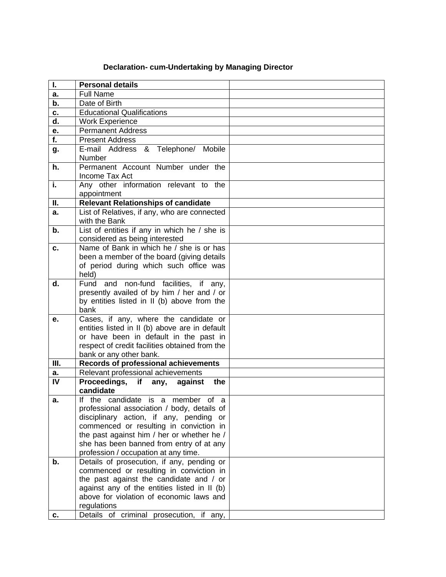## **Declaration- cum-Undertaking by Managing Director**

| I.               | <b>Personal details</b>                                                                 |  |
|------------------|-----------------------------------------------------------------------------------------|--|
| a.               | <b>Full Name</b>                                                                        |  |
| b.               | Date of Birth                                                                           |  |
| c.               | <b>Educational Qualifications</b>                                                       |  |
| d.               | <b>Work Experience</b>                                                                  |  |
| e.               | <b>Permanent Address</b>                                                                |  |
| $\overline{f}$ . | <b>Present Address</b>                                                                  |  |
| g.               | E-mail Address & Telephone/ Mobile                                                      |  |
|                  | <b>Number</b>                                                                           |  |
| h.               | Permanent Account Number under the                                                      |  |
|                  | Income Tax Act                                                                          |  |
| i.               | Any other information relevant to the                                                   |  |
|                  | appointment                                                                             |  |
| Ш.               | <b>Relevant Relationships of candidate</b>                                              |  |
| a.               | List of Relatives, if any, who are connected                                            |  |
|                  | with the Bank                                                                           |  |
| $b$ .            | List of entities if any in which he / she is                                            |  |
|                  | considered as being interested                                                          |  |
| c.               | Name of Bank in which he / she is or has                                                |  |
|                  | been a member of the board (giving details                                              |  |
|                  | of period during which such office was                                                  |  |
| d.               | held)<br>and non-fund facilities, if any,<br>Fund                                       |  |
|                  | presently availed of by him / her and / or                                              |  |
|                  | by entities listed in II (b) above from the                                             |  |
|                  | bank                                                                                    |  |
| e.               | Cases, if any, where the candidate or                                                   |  |
|                  | entities listed in II (b) above are in default                                          |  |
|                  | or have been in default in the past in                                                  |  |
|                  | respect of credit facilities obtained from the                                          |  |
|                  | bank or any other bank.                                                                 |  |
| III.             | <b>Records of professional achievements</b>                                             |  |
| а.               | Relevant professional achievements                                                      |  |
| $\overline{N}$   | Proceedings, if any, against<br>the                                                     |  |
|                  | candidate                                                                               |  |
| a.               | If the candidate is a member of a                                                       |  |
|                  | professional association / body, details of                                             |  |
|                  | disciplinary action, if any, pending or                                                 |  |
|                  | commenced or resulting in conviction in                                                 |  |
|                  | the past against him / her or whether he /                                              |  |
|                  | she has been banned from entry of at any                                                |  |
|                  | profession / occupation at any time.                                                    |  |
| b.               | Details of prosecution, if any, pending or                                              |  |
|                  | commenced or resulting in conviction in                                                 |  |
|                  | the past against the candidate and / or<br>against any of the entities listed in II (b) |  |
|                  | above for violation of economic laws and                                                |  |
|                  | regulations                                                                             |  |
| c.               | Details of criminal prosecution, if any,                                                |  |